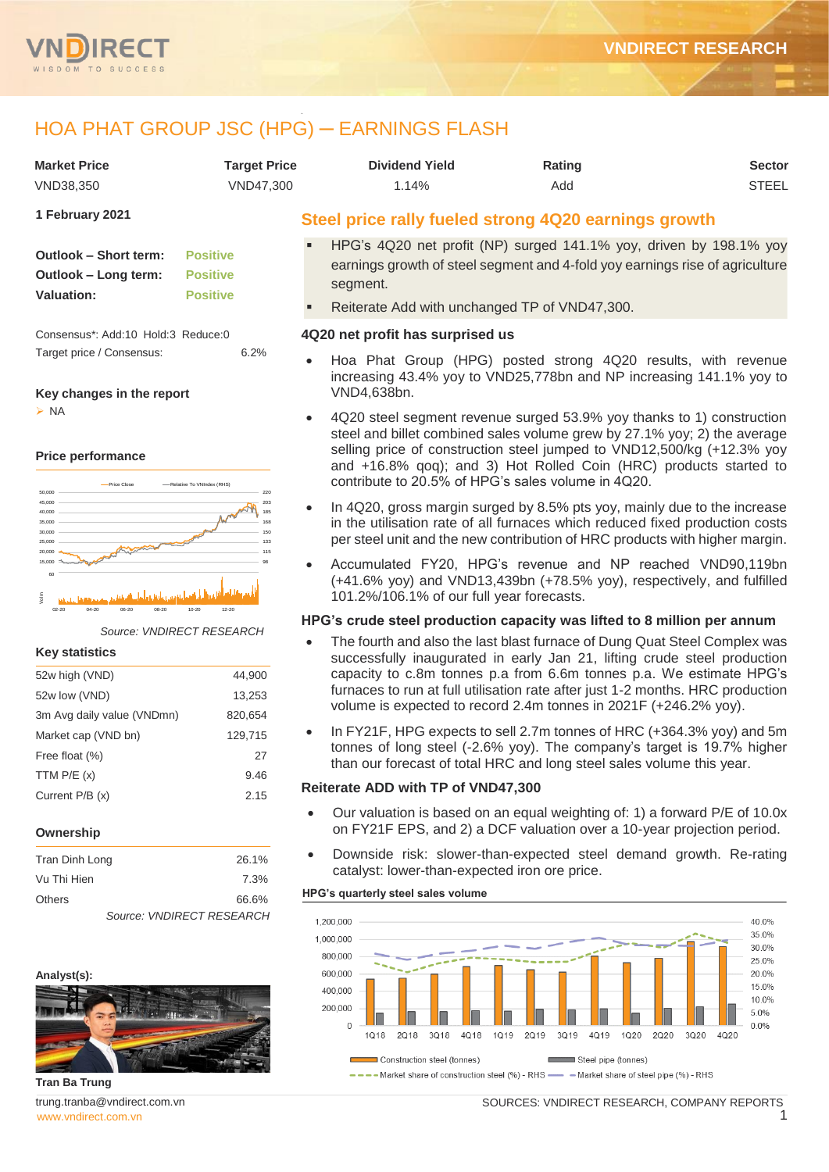

# HOA PHAT GROUP JSC (HPG) ─ EARNINGS FLASH

|                                                                              |                                                       | <b>HOA PHAT GROUP JSC (HPG) - EARNINGS FLASH</b>                                                                                                                                                                                                                                                                                                       |                                                                            |               |
|------------------------------------------------------------------------------|-------------------------------------------------------|--------------------------------------------------------------------------------------------------------------------------------------------------------------------------------------------------------------------------------------------------------------------------------------------------------------------------------------------------------|----------------------------------------------------------------------------|---------------|
| <b>Market Price</b>                                                          | <b>Target Price</b>                                   | <b>Dividend Yield</b>                                                                                                                                                                                                                                                                                                                                  | Rating                                                                     | <b>Sector</b> |
| VND38,350                                                                    | VND47,300                                             | 1.14%                                                                                                                                                                                                                                                                                                                                                  | Add                                                                        | <b>STEEL</b>  |
| 1 February 2021                                                              |                                                       | Steel price rally fueled strong 4Q20 earnings growth                                                                                                                                                                                                                                                                                                   |                                                                            |               |
| Outlook - Short term:<br>Outlook – Long term:<br><b>Valuation:</b>           | <b>Positive</b><br><b>Positive</b><br><b>Positive</b> | HPG's 4Q20 net profit (NP) surged 141.1% yoy, driven by 198.1% yoy<br>earnings growth of steel segment and 4-fold yoy earnings rise of agriculture<br>segment.<br>Reiterate Add with unchanged TP of VND47,300.                                                                                                                                        |                                                                            |               |
| Consensus*: Add:10 Hold:3 Reduce:0                                           |                                                       | 4Q20 net profit has surprised us                                                                                                                                                                                                                                                                                                                       |                                                                            |               |
| Target price / Consensus:<br>Key changes in the report                       | 6.2%                                                  | Hoa Phat Group (HPG) posted strong 4Q20 results, with revenue<br>increasing 43.4% yoy to VND25,778bn and NP increasing 141.1% yoy to<br>VND4,638bn.                                                                                                                                                                                                    |                                                                            |               |
| > NA<br><b>Price performance</b><br>-Price Close<br>50,000                   | -Relative To VNIndex (RHS)<br>220                     | 4Q20 steel segment revenue surged 53.9% yoy thanks to 1) construction<br>steel and billet combined sales volume grew by 27.1% yoy; 2) the average<br>selling price of construction steel jumped to VND12,500/kg (+12.3% yoy<br>and +16.8% qoq); and 3) Hot Rolled Coin (HRC) products started to<br>contribute to 20.5% of HPG's sales volume in 4Q20. |                                                                            |               |
| 45,000<br>40,000<br>35,000<br>30,000<br>25,000<br><b>Surveyord</b><br>20,000 | 203<br>185<br>168<br>133<br>115                       | In 4Q20, gross margin surged by 8.5% pts yoy, mainly due to the increase<br>in the utilisation rate of all furnaces which reduced fixed production costs<br>per steel unit and the new contribution of HRC products with higher margin.                                                                                                                |                                                                            |               |
| 15,000<br>فلفيظ بانعنجل خويس ويلوقون وإعواب فسخني<br>Volm                    |                                                       | Accumulated FY20, HPG's revenue and NP reached VND90,119bn<br>(+41.6% yoy) and VND13,439bn (+78.5% yoy), respectively, and fulfilled<br>101.2%/106.1% of our full year forecasts.                                                                                                                                                                      |                                                                            |               |
| $02 - 20$                                                                    |                                                       | HPG's crude steel production capacity was lifted to 8 million per annum                                                                                                                                                                                                                                                                                |                                                                            |               |
| Source: VNDIRECT RESEARCH<br><b>Key statistics</b>                           |                                                       | The fourth and also the last blast furnace of Dung Quat Steel Complex was<br>$\bullet$<br>successfully inaugurated in early Jan 21, lifting crude steel production                                                                                                                                                                                     |                                                                            |               |
| 52w high (VND)                                                               | 44,900                                                | capacity to c.8m tonnes p.a from 6.6m tonnes p.a. We estimate HPG's                                                                                                                                                                                                                                                                                    |                                                                            |               |
| 52w low (VND)                                                                | 13,253                                                | furnaces to run at full utilisation rate after just 1-2 months. HRC production                                                                                                                                                                                                                                                                         |                                                                            |               |
| 3m Avg daily value (VNDmn)                                                   | 820,654                                               | volume is expected to record 2.4m tonnes in 2021F (+246.2% yoy).                                                                                                                                                                                                                                                                                       |                                                                            |               |
| Market cap (VND bn)                                                          | 129,715                                               | In FY21F, HPG expects to sell 2.7m tonnes of HRC (+364.3% yoy) and 5m<br>tonnes of long steel (-2.6% yoy). The company's target is 19.7% higher                                                                                                                                                                                                        |                                                                            |               |
| Free float (%)                                                               | 27                                                    | than our forecast of total HRC and long steel sales volume this year.                                                                                                                                                                                                                                                                                  |                                                                            |               |
| TTM $P/E(x)$                                                                 | 9.46                                                  |                                                                                                                                                                                                                                                                                                                                                        |                                                                            |               |
| Current P/B (x)                                                              | 2.15                                                  | Reiterate ADD with TP of VND47,300                                                                                                                                                                                                                                                                                                                     | Our valuation is based on an equal weighting of: 1) a forward P/E of 10.0x |               |

#### **Ownership**

| Tran Dinh Long            | 26.1% |
|---------------------------|-------|
| Vu Thi Hien               | 7.3%  |
| <b>Others</b>             | 66.6% |
| Source: VNDIRECT RESEARCH |       |



## **Tran Ba Trung**

[www.vndirect.com.vn](file:///C:/Users/Andre/Downloads/www.vndirect.com.vn) 1 trung.tranba@vndirect.com.vn

#### **HPG's quarterly steel sales volume**

catalyst: lower-than-expected iron ore price.



on FY21F EPS, and 2) a DCF valuation over a 10-year projection period. Downside risk: slower-than-expected steel demand growth. Re-rating

SOURCES: VNDIRECT RESEARCH, COMPANY REPORTS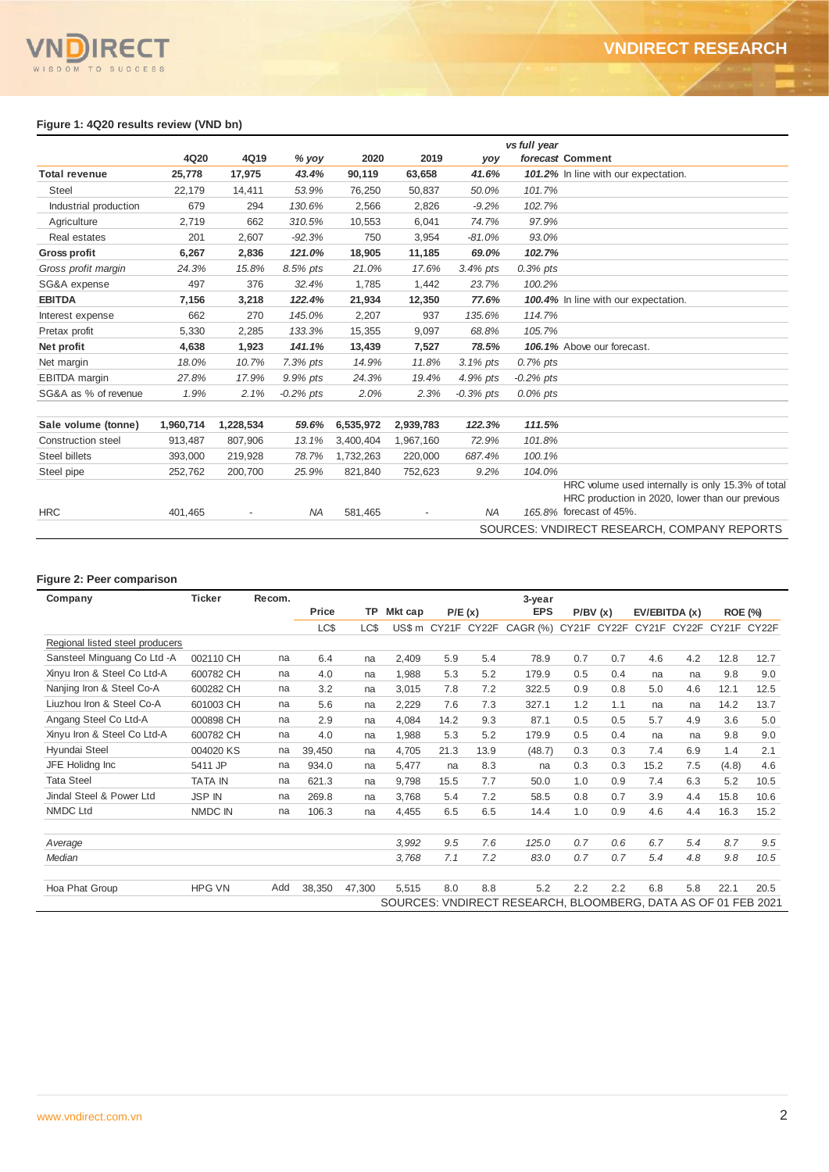# **IRECT** SDOM TO SUCCESS

### **Figure 1: 4Q20 results review (VND bn)**

|                           |           |           |             |           |           |             | vs full year |                                                                                                      |
|---------------------------|-----------|-----------|-------------|-----------|-----------|-------------|--------------|------------------------------------------------------------------------------------------------------|
|                           | 4Q20      | 4Q19      | $%$ yoy     | 2020      | 2019      | yoy         |              | forecast Comment                                                                                     |
| <b>Total revenue</b>      | 25,778    | 17,975    | 43.4%       | 90,119    | 63,658    | 41.6%       |              | 101.2% In line with our expectation.                                                                 |
| <b>Steel</b>              | 22,179    | 14,411    | 53.9%       | 76,250    | 50,837    | 50.0%       | 101.7%       |                                                                                                      |
| Industrial production     | 679       | 294       | 130.6%      | 2,566     | 2,826     | $-9.2%$     | 102.7%       |                                                                                                      |
| Agriculture               | 2,719     | 662       | 310.5%      | 10,553    | 6,041     | 74.7%       | 97.9%        |                                                                                                      |
| Real estates              | 201       | 2,607     | $-92.3%$    | 750       | 3,954     | $-81.0%$    | 93.0%        |                                                                                                      |
| <b>Gross profit</b>       | 6,267     | 2,836     | 121.0%      | 18,905    | 11,185    | 69.0%       | 102.7%       |                                                                                                      |
| Gross profit margin       | 24.3%     | 15.8%     | 8.5% pts    | 21.0%     | 17.6%     | $3.4\%$ pts | $0.3\%$ pts  |                                                                                                      |
| SG&A expense              | 497       | 376       | 32.4%       | 1,785     | 1,442     | 23.7%       | 100.2%       |                                                                                                      |
| <b>EBITDA</b>             | 7,156     | 3,218     | 122.4%      | 21,934    | 12,350    | 77.6%       |              | 100.4% In line with our expectation.                                                                 |
| Interest expense          | 662       | 270       | 145.0%      | 2,207     | 937       | 135.6%      | 114.7%       |                                                                                                      |
| Pretax profit             | 5,330     | 2,285     | 133.3%      | 15,355    | 9,097     | 68.8%       | 105.7%       |                                                                                                      |
| Net profit                | 4,638     | 1,923     | 141.1%      | 13,439    | 7,527     | 78.5%       |              | 106.1% Above our forecast.                                                                           |
| Net margin                | 18.0%     | 10.7%     | $7.3%$ pts  | 14.9%     | 11.8%     | $3.1\%$ pts | 0.7% pts     |                                                                                                      |
| <b>EBITDA</b> margin      | 27.8%     | 17.9%     | 9.9% pts    | 24.3%     | 19.4%     | 4.9% pts    | $-0.2\%$ pts |                                                                                                      |
| SG&A as % of revenue      | 1.9%      | 2.1%      | $-0.2%$ pts | 2.0%      | 2.3%      | $-0.3%$ pts | $0.0\%$ pts  |                                                                                                      |
|                           |           |           |             |           |           |             |              |                                                                                                      |
| Sale volume (tonne)       | 1,960,714 | 1,228,534 | 59.6%       | 6,535,972 | 2,939,783 | 122.3%      | 111.5%       |                                                                                                      |
| <b>Construction steel</b> | 913,487   | 807,906   | 13.1%       | 3,400,404 | 1,967,160 | 72.9%       | 101.8%       |                                                                                                      |
| Steel billets             | 393,000   | 219,928   | 78.7%       | 1,732,263 | 220,000   | 687.4%      | 100.1%       |                                                                                                      |
| Steel pipe                | 252,762   | 200,700   | 25.9%       | 821,840   | 752,623   | 9.2%        | 104.0%       |                                                                                                      |
|                           |           |           |             |           |           |             |              | HRC volume used internally is only 15.3% of total<br>HRC production in 2020, lower than our previous |
| <b>HRC</b>                | 401.465   |           | <b>NA</b>   | 581,465   |           | <b>NA</b>   |              | 165.8% forecast of 45%.                                                                              |
|                           |           |           |             |           |           |             |              | SOURCES: VNDIRECT RESEARCH, COMPANY REPORTS                                                          |

### **Figure 2: Peer comparison**

| Company                         | <b>Ticker</b>  | Recom. |        |           |         |      |                    | 3-year                                                        |         |       |               |       |             |                |
|---------------------------------|----------------|--------|--------|-----------|---------|------|--------------------|---------------------------------------------------------------|---------|-------|---------------|-------|-------------|----------------|
|                                 |                |        | Price  | <b>TP</b> | Mkt cap |      | P/E(x)             | <b>EPS</b>                                                    | P/BV(x) |       | EV/EBITDA (x) |       |             | <b>ROE (%)</b> |
|                                 |                |        | LC\$   | LC\$      |         |      | US\$ m CY21F CY22F | $CAGR$ $(\%)$                                                 | CY21F   | CY22F | CY21F         | CY22F | CY21F CY22F |                |
| Regional listed steel producers |                |        |        |           |         |      |                    |                                                               |         |       |               |       |             |                |
| Sansteel Minguang Co Ltd -A     | 002110 CH      | na     | 6.4    | na        | 2,409   | 5.9  | 5.4                | 78.9                                                          | 0.7     | 0.7   | 4.6           | 4.2   | 12.8        | 12.7           |
| Xinyu Iron & Steel Co Ltd-A     | 600782 CH      | na     | 4.0    | na        | 1,988   | 5.3  | 5.2                | 179.9                                                         | 0.5     | 0.4   | na            | na    | 9.8         | 9.0            |
| Nanjing Iron & Steel Co-A       | 600282 CH      | na     | 3.2    | na        | 3,015   | 7.8  | 7.2                | 322.5                                                         | 0.9     | 0.8   | 5.0           | 4.6   | 12.1        | 12.5           |
| Liuzhou Iron & Steel Co-A       | 601003 CH      | na     | 5.6    | na        | 2,229   | 7.6  | 7.3                | 327.1                                                         | 1.2     | 1.1   | na            | na    | 14.2        | 13.7           |
| Angang Steel Co Ltd-A           | 000898 CH      | na     | 2.9    | na        | 4,084   | 14.2 | 9.3                | 87.1                                                          | 0.5     | 0.5   | 5.7           | 4.9   | 3.6         | 5.0            |
| Xinyu Iron & Steel Co Ltd-A     | 600782 CH      | na     | 4.0    | na        | 1,988   | 5.3  | 5.2                | 179.9                                                         | 0.5     | 0.4   | na            | na    | 9.8         | 9.0            |
| Hyundai Steel                   | 004020 KS      | na     | 39,450 | na        | 4,705   | 21.3 | 13.9               | (48.7)                                                        | 0.3     | 0.3   | 7.4           | 6.9   | 1.4         | 2.1            |
| JFE Holidng Inc                 | 5411 JP        | na     | 934.0  | na        | 5,477   | na   | 8.3                | na                                                            | 0.3     | 0.3   | 15.2          | 7.5   | (4.8)       | 4.6            |
| <b>Tata Steel</b>               | <b>TATA IN</b> | na     | 621.3  | na        | 9.798   | 15.5 | 7.7                | 50.0                                                          | 1.0     | 0.9   | 7.4           | 6.3   | 5.2         | 10.5           |
| Jindal Steel & Power Ltd        | <b>JSP IN</b>  | na     | 269.8  | na        | 3.768   | 5.4  | 7.2                | 58.5                                                          | 0.8     | 0.7   | 3.9           | 4.4   | 15.8        | 10.6           |
| <b>NMDC Ltd</b>                 | NMDC IN        | na     | 106.3  | na        | 4,455   | 6.5  | 6.5                | 14.4                                                          | 1.0     | 0.9   | 4.6           | 4.4   | 16.3        | 15.2           |
|                                 |                |        |        |           |         |      |                    |                                                               |         |       |               |       |             |                |
| Average                         |                |        |        |           | 3,992   | 9.5  | 7.6                | 125.0                                                         | 0.7     | 0.6   | 6.7           | 5.4   | 8.7         | 9.5            |
| Median                          |                |        |        |           | 3,768   | 7.1  | 7.2                | 83.0                                                          | 0.7     | 0.7   | 5.4           | 4.8   | 9.8         | 10.5           |
|                                 |                |        |        |           |         |      |                    |                                                               |         |       |               |       |             |                |
| Hoa Phat Group                  | <b>HPG VN</b>  | Add    | 38,350 | 47,300    | 5.515   | 8.0  | 8.8                | 5.2                                                           | 2.2     | 2.2   | 6.8           | 5.8   | 22.1        | 20.5           |
|                                 |                |        |        |           |         |      |                    | SOURCES: VNDIRECT RESEARCH, BLOOMBERG, DATA AS OF 01 FEB 2021 |         |       |               |       |             |                |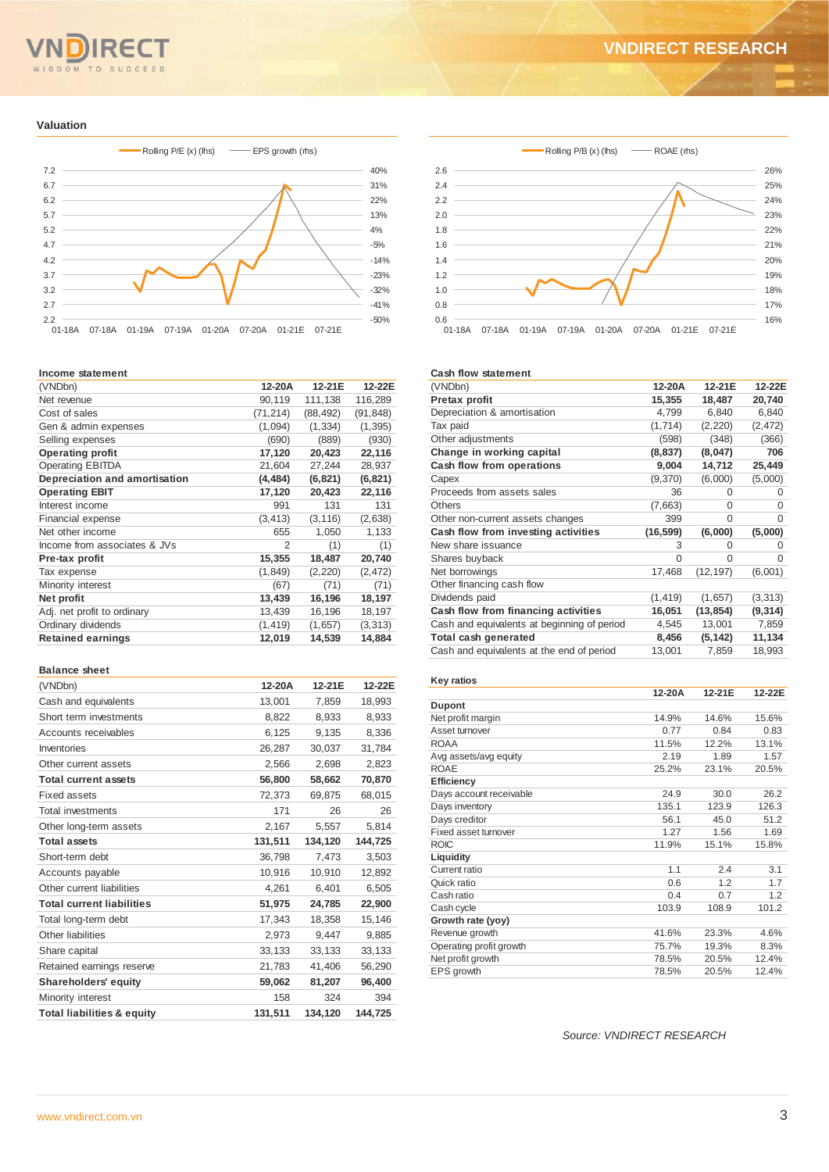## **RE** WISDOM TO SUCCESS

## **VNDIRECT RESEARCH**

### **Valuation**



#### **Income statement**

| (VNDbn)                       | 12-20A    | 12-21E    | 12-22E    |
|-------------------------------|-----------|-----------|-----------|
| Net revenue                   | 90,119    | 111,138   | 116,289   |
| Cost of sales                 | (71, 214) | (88, 492) | (91, 848) |
| Gen & admin expenses          | (1,094)   | (1, 334)  | (1, 395)  |
| Selling expenses              | (690)     | (889)     | (930)     |
| <b>Operating profit</b>       | 17,120    | 20,423    | 22,116    |
| <b>Operating EBITDA</b>       | 21,604    | 27,244    | 28,937    |
| Depreciation and amortisation | (4, 484)  | (6, 821)  | (6, 821)  |
| <b>Operating EBIT</b>         | 17,120    | 20,423    | 22,116    |
| Interest income               | 991       | 131       | 131       |
| Financial expense             | (3, 413)  | (3, 116)  | (2,638)   |
| Net other income              | 655       | 1,050     | 1,133     |
| Income from associates & JVs  | 2         | (1)       | (1)       |
| Pre-tax profit                | 15,355    | 18,487    | 20,740    |
| Tax expense                   | (1, 849)  | (2, 220)  | (2, 472)  |
| Minority interest             | (67)      | (71)      | (71)      |
| Net profit                    | 13,439    | 16,196    | 18,197    |
| Adj. net profit to ordinary   | 13,439    | 16,196    | 18,197    |
| Ordinary dividends            | (1, 419)  | (1,657)   | (3,313)   |
| <b>Retained earnings</b>      | 12,019    | 14,539    | 14,884    |
|                               |           |           |           |

#### **Balance sheet**

| (VNDbn)                               | 12-20A  | 12-21E  | 12-22E  |
|---------------------------------------|---------|---------|---------|
| Cash and equivalents                  | 13,001  | 7,859   | 18,993  |
| Short term investments                | 8,822   | 8.933   | 8,933   |
| Accounts receivables                  | 6,125   | 9,135   | 8,336   |
| Inventories                           | 26,287  | 30,037  | 31,784  |
| Other current assets                  | 2,566   | 2,698   | 2,823   |
| <b>Total current assets</b>           | 56.800  | 58,662  | 70,870  |
| <b>Fixed assets</b>                   | 72,373  | 69,875  | 68,015  |
| <b>Total investments</b>              | 171     | 26      | 26      |
| Other long-term assets                | 2,167   | 5,557   | 5,814   |
| <b>Total assets</b>                   | 131,511 | 134,120 | 144.725 |
| Short-term debt                       | 36,798  | 7,473   | 3,503   |
| Accounts payable                      | 10,916  | 10,910  | 12,892  |
| Other current liabilities             | 4.261   | 6.401   | 6,505   |
| <b>Total current liabilities</b>      | 51,975  | 24,785  | 22,900  |
| Total long-term debt                  | 17,343  | 18,358  | 15,146  |
| Other liabilities                     | 2,973   | 9,447   | 9,885   |
| Share capital                         | 33,133  | 33,133  | 33,133  |
| Retained earnings reserve             | 21,783  | 41,406  | 56,290  |
| <b>Shareholders' equity</b>           | 59,062  | 81,207  | 96,400  |
| Minority interest                     | 158     | 324     | 394     |
| <b>Total liabilities &amp; equity</b> | 131,511 | 134,120 | 144,725 |



#### **Cash flow statement**

| (VNDbn)                                     | 12-20A    | 12-21E    | 12-22E   |
|---------------------------------------------|-----------|-----------|----------|
| <b>Pretax profit</b>                        | 15,355    | 18,487    | 20,740   |
| Depreciation & amortisation                 | 4,799     | 6,840     | 6,840    |
| Tax paid                                    | (1,714)   | (2,220)   | (2, 472) |
| Other adjustments                           | (598)     | (348)     | (366)    |
| Change in working capital                   | (8, 837)  | (8,047)   | 706      |
| Cash flow from operations                   | 9,004     | 14,712    | 25,449   |
| Capex                                       | (9,370)   | (6,000)   | (5,000)  |
| Proceeds from assets sales                  | 36        | $\Omega$  | 0        |
| <b>Others</b>                               | (7,663)   | $\Omega$  | $\Omega$ |
| Other non-current assets changes            | 399       | $\Omega$  | $\Omega$ |
| Cash flow from investing activities         | (16, 599) | (6,000)   | (5,000)  |
| New share issuance                          | 3         | $\Omega$  | $\Omega$ |
| Shares buyback                              | $\Omega$  | $\Omega$  | $\Omega$ |
| Net borrowings                              | 17,468    | (12, 197) | (6,001)  |
| Other financing cash flow                   |           |           |          |
| Dividends paid                              | (1, 419)  | (1,657)   | (3,313)  |
| Cash flow from financing activities         | 16,051    | (13, 854) | (9, 314) |
| Cash and equivalents at beginning of period | 4,545     | 13,001    | 7,859    |
| Total cash generated                        | 8,456     | (5, 142)  | 11,134   |
| Cash and equivalents at the end of period   | 13,001    | 7,859     | 18,993   |

#### **Key ratios 12-20A 12-21E 12-22E Dupont** Net profit margin 14.9% 14.6% 15.6%<br>Asset turnover 0.77 0.84 0.83 Asset turnover 0.77 0.84 0.83<br>ROAA 11.5% 12.2% 13.1% ROAA 11.5% 12.2% 13.1% Avg assets/avg equity 1.57 ROAE 25.2% 23.1% 20.5% **Efficiency** Days account receivable 24.9 30.0 26.2<br>
Days inventory 135.1 123.9 126.3 Pays inventory 135.1 123.9 126.3<br>
Days creditor 135.1 123.9 126.3 Days creditor 56.1 45.0 51.2<br>Fixed asset turnover 1.27 1.56 1.69 Fixed asset turnover 1.27 1.56 1.69<br>ROIC 11.9% 15.1% 15.8% ROIC 11.9% 15.1% 15.8% **Liquidity** Current ratio 1.1 2.4 3.1 Quick ratio 0.6 1.2 1.7<br>
Cash ratio 0.4 0.7 1.2 Cash ratio 0.4 0.7 1.2<br>
Cash cvcle 103.9 108.9 101.2 Cash cycle **Growth rate (yoy)** Revenue growth  $41.6\%$  23.3%  $4.6\%$ <br>Operating profit growth  $75.7\%$  19.3% 8.3% Operating profit growth 75.7% 19.3% Net profit growth 78.5% 20.5% 12.4% EPS growth 78.5% 20.5% 12.4%

*Source: VNDIRECT RESEARCH*